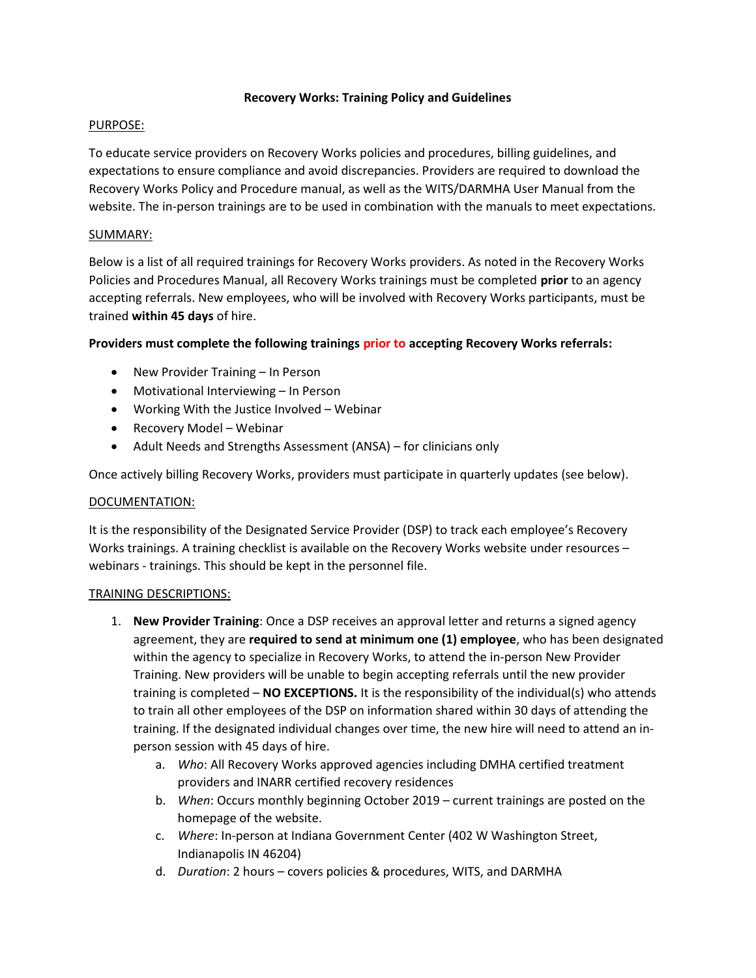### Recovery Works: Training Policy and Guidelines

# PURPOSE:

To educate service providers on Recovery Works policies and procedures, billing guidelines, and expectations to ensure compliance and avoid discrepancies. Providers are required to download the Recovery Works Policy and Procedure manual, as well as the WITS/DARMHA User Manual from the website. The in-person trainings are to be used in combination with the manuals to meet expectations.

## SUMMARY:

Below is a list of all required trainings for Recovery Works providers. As noted in the Recovery Works Policies and Procedures Manual, all Recovery Works trainings must be completed prior to an agency accepting referrals. New employees, who will be involved with Recovery Works participants, must be trained within 45 days of hire.

## Providers must complete the following trainings prior to accepting Recovery Works referrals:

- New Provider Training In Person
- Motivational Interviewing In Person
- Working With the Justice Involved Webinar
- Recovery Model Webinar
- Adult Needs and Strengths Assessment (ANSA) for clinicians only

Once actively billing Recovery Works, providers must participate in quarterly updates (see below).

### DOCUMENTATION:

It is the responsibility of the Designated Service Provider (DSP) to track each employee's Recovery Works trainings. A training checklist is available on the Recovery Works website under resources – webinars - trainings. This should be kept in the personnel file.

### TRAINING DESCRIPTIONS:

- 1. New Provider Training: Once a DSP receives an approval letter and returns a signed agency agreement, they are required to send at minimum one (1) employee, who has been designated within the agency to specialize in Recovery Works, to attend the in-person New Provider Training. New providers will be unable to begin accepting referrals until the new provider training is completed  $-$  NO EXCEPTIONS. It is the responsibility of the individual(s) who attends to train all other employees of the DSP on information shared within 30 days of attending the training. If the designated individual changes over time, the new hire will need to attend an inperson session with 45 days of hire.
	- a. Who: All Recovery Works approved agencies including DMHA certified treatment providers and INARR certified recovery residences
	- b. When: Occurs monthly beginning October 2019 current trainings are posted on the homepage of the website.
	- c. Where: In-person at Indiana Government Center (402 W Washington Street, Indianapolis IN 46204)
	- d. Duration: 2 hours covers policies & procedures, WITS, and DARMHA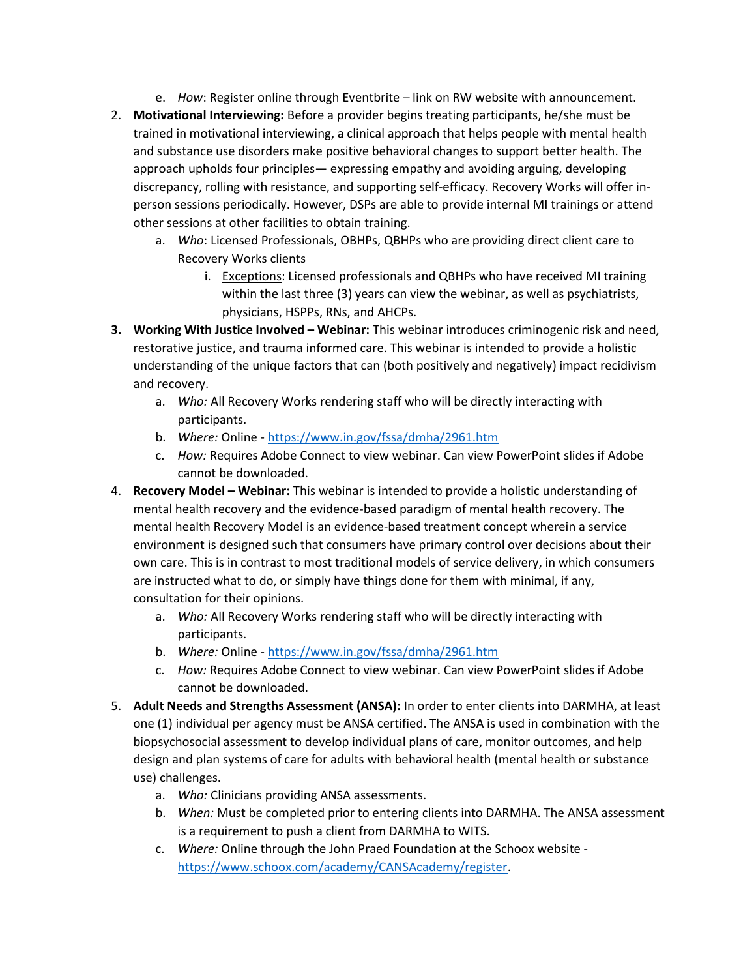- e. How: Register online through Eventbrite link on RW website with announcement.
- 2. Motivational Interviewing: Before a provider begins treating participants, he/she must be trained in motivational interviewing, a clinical approach that helps people with mental health and substance use disorders make positive behavioral changes to support better health. The approach upholds four principles— expressing empathy and avoiding arguing, developing discrepancy, rolling with resistance, and supporting self-efficacy. Recovery Works will offer inperson sessions periodically. However, DSPs are able to provide internal MI trainings or attend other sessions at other facilities to obtain training.
	- a. Who: Licensed Professionals, OBHPs, QBHPs who are providing direct client care to Recovery Works clients
		- i. Exceptions: Licensed professionals and QBHPs who have received MI training within the last three (3) years can view the webinar, as well as psychiatrists, physicians, HSPPs, RNs, and AHCPs.
- 3. Working With Justice Involved Webinar: This webinar introduces criminogenic risk and need, restorative justice, and trauma informed care. This webinar is intended to provide a holistic understanding of the unique factors that can (both positively and negatively) impact recidivism and recovery.
	- a. Who: All Recovery Works rendering staff who will be directly interacting with participants.
	- b. Where: Online https://www.in.gov/fssa/dmha/2961.htm
	- c. How: Requires Adobe Connect to view webinar. Can view PowerPoint slides if Adobe cannot be downloaded.
- 4. Recovery Model Webinar: This webinar is intended to provide a holistic understanding of mental health recovery and the evidence-based paradigm of mental health recovery. The mental health Recovery Model is an evidence-based treatment concept wherein a service environment is designed such that consumers have primary control over decisions about their own care. This is in contrast to most traditional models of service delivery, in which consumers are instructed what to do, or simply have things done for them with minimal, if any, consultation for their opinions.
	- a. Who: All Recovery Works rendering staff who will be directly interacting with participants.
	- b. Where: Online https://www.in.gov/fssa/dmha/2961.htm
	- c. How: Requires Adobe Connect to view webinar. Can view PowerPoint slides if Adobe cannot be downloaded.
- 5. Adult Needs and Strengths Assessment (ANSA): In order to enter clients into DARMHA, at least one (1) individual per agency must be ANSA certified. The ANSA is used in combination with the biopsychosocial assessment to develop individual plans of care, monitor outcomes, and help design and plan systems of care for adults with behavioral health (mental health or substance use) challenges.
	- a. Who: Clinicians providing ANSA assessments.
	- b. When: Must be completed prior to entering clients into DARMHA. The ANSA assessment is a requirement to push a client from DARMHA to WITS.
	- c. Where: Online through the John Praed Foundation at the Schoox website https://www.schoox.com/academy/CANSAcademy/register.